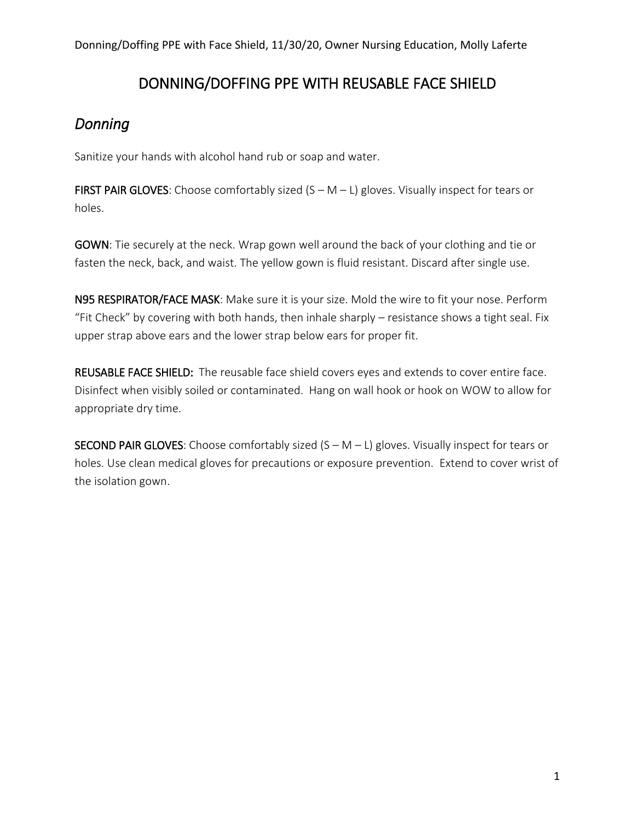## DONNING/DOFFING PPE WITH REUSABLE FACE SHIELD

# *Donning*

Sanitize your hands with alcohol hand rub or soap and water.

FIRST PAIR GLOVES: Choose comfortably sized  $(S - M - L)$  gloves. Visually inspect for tears or holes.

GOWN: Tie securely at the neck. Wrap gown well around the back of your clothing and tie or fasten the neck, back, and waist. The yellow gown is fluid resistant. Discard after single use.

N95 RESPIRATOR/FACE MASK: Make sure it is your size. Mold the wire to fit your nose. Perform "Fit Check" by covering with both hands, then inhale sharply – resistance shows a tight seal. Fix upper strap above ears and the lower strap below ears for proper fit.

REUSABLE FACE SHIELD: The reusable face shield covers eyes and extends to cover entire face. Disinfect when visibly soiled or contaminated. Hang on wall hook or hook on WOW to allow for appropriate dry time.

**SECOND PAIR GLOVES:** Choose comfortably sized  $(S - M - L)$  gloves. Visually inspect for tears or holes. Use clean medical gloves for precautions or exposure prevention. Extend to cover wrist of the isolation gown.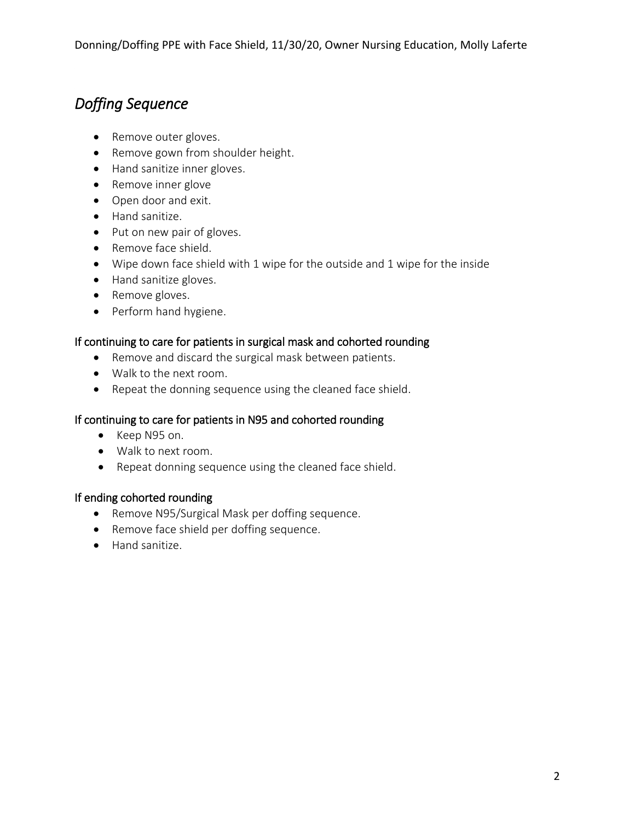# *Doffing Sequence*

- Remove outer gloves.
- Remove gown from shoulder height.
- Hand sanitize inner gloves.
- Remove inner glove
- Open door and exit.
- Hand sanitize.
- Put on new pair of gloves.
- Remove face shield.
- Wipe down face shield with 1 wipe for the outside and 1 wipe for the inside
- Hand sanitize gloves.
- Remove gloves.
- Perform hand hygiene.

#### If continuing to care for patients in surgical mask and cohorted rounding

- Remove and discard the surgical mask between patients.
- Walk to the next room.
- Repeat the donning sequence using the cleaned face shield.

#### If continuing to care for patients in N95 and cohorted rounding

- Keep N95 on.
- Walk to next room.
- Repeat donning sequence using the cleaned face shield.

#### If ending cohorted rounding

- Remove N95/Surgical Mask per doffing sequence.
- Remove face shield per doffing sequence.
- Hand sanitize.